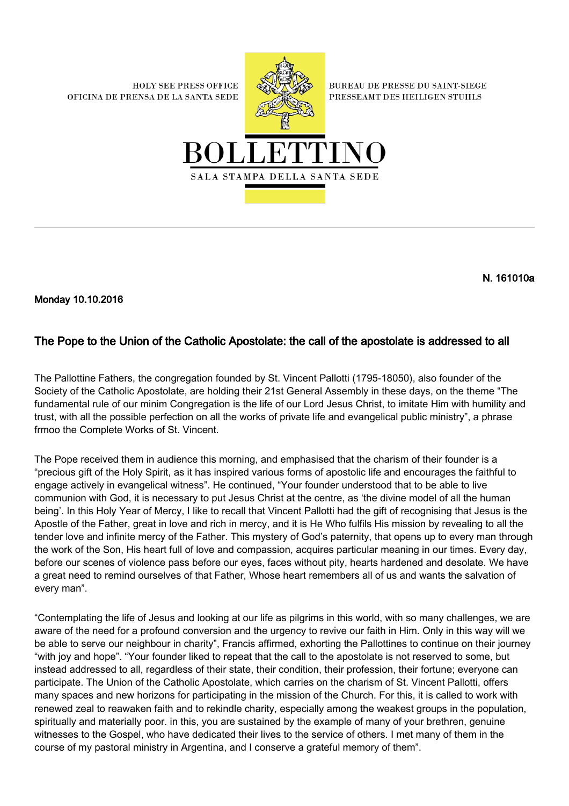**HOLY SEE PRESS OFFICE** OFICINA DE PRENSA DE LA SANTA SEDE



**BUREAU DE PRESSE DU SAINT-SIEGE** PRESSEAMT DES HEILIGEN STUHLS



N. 161010a

Monday 10.10.2016

## The Pope to the Union of the Catholic Apostolate: the call of the apostolate is addressed to all

The Pallottine Fathers, the congregation founded by St. Vincent Pallotti (1795-18050), also founder of the Society of the Catholic Apostolate, are holding their 21st General Assembly in these days, on the theme "The fundamental rule of our minim Congregation is the life of our Lord Jesus Christ, to imitate Him with humility and trust, with all the possible perfection on all the works of private life and evangelical public ministry", a phrase frmoo the Complete Works of St. Vincent.

The Pope received them in audience this morning, and emphasised that the charism of their founder is a "precious gift of the Holy Spirit, as it has inspired various forms of apostolic life and encourages the faithful to engage actively in evangelical witness". He continued, "Your founder understood that to be able to live communion with God, it is necessary to put Jesus Christ at the centre, as 'the divine model of all the human being'. In this Holy Year of Mercy, I like to recall that Vincent Pallotti had the gift of recognising that Jesus is the Apostle of the Father, great in love and rich in mercy, and it is He Who fulfils His mission by revealing to all the tender love and infinite mercy of the Father. This mystery of God's paternity, that opens up to every man through the work of the Son, His heart full of love and compassion, acquires particular meaning in our times. Every day, before our scenes of violence pass before our eyes, faces without pity, hearts hardened and desolate. We have a great need to remind ourselves of that Father, Whose heart remembers all of us and wants the salvation of every man".

"Contemplating the life of Jesus and looking at our life as pilgrims in this world, with so many challenges, we are aware of the need for a profound conversion and the urgency to revive our faith in Him. Only in this way will we be able to serve our neighbour in charity", Francis affirmed, exhorting the Pallottines to continue on their journey "with joy and hope". "Your founder liked to repeat that the call to the apostolate is not reserved to some, but instead addressed to all, regardless of their state, their condition, their profession, their fortune; everyone can participate. The Union of the Catholic Apostolate, which carries on the charism of St. Vincent Pallotti, offers many spaces and new horizons for participating in the mission of the Church. For this, it is called to work with renewed zeal to reawaken faith and to rekindle charity, especially among the weakest groups in the population, spiritually and materially poor. in this, you are sustained by the example of many of your brethren, genuine witnesses to the Gospel, who have dedicated their lives to the service of others. I met many of them in the course of my pastoral ministry in Argentina, and I conserve a grateful memory of them".